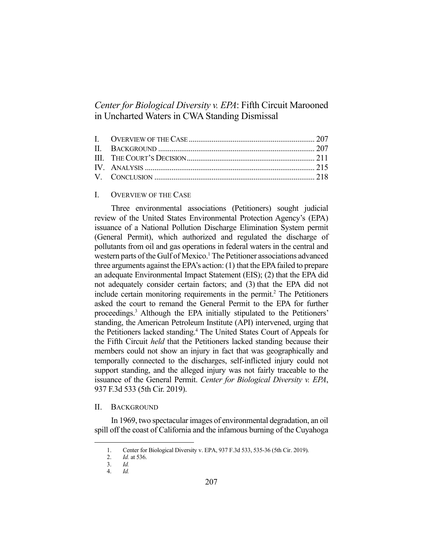# *Center for Biological Diversity v. EPA*: Fifth Circuit Marooned in Uncharted Waters in CWA Standing Dismissal

## I. OVERVIEW OF THE CASE

 Three environmental associations (Petitioners) sought judicial review of the United States Environmental Protection Agency's (EPA) issuance of a National Pollution Discharge Elimination System permit (General Permit), which authorized and regulated the discharge of pollutants from oil and gas operations in federal waters in the central and western parts of the Gulf of Mexico.<sup>1</sup> The Petitioner associations advanced three arguments against the EPA's action: (1) that the EPA failed to prepare an adequate Environmental Impact Statement (EIS); (2) that the EPA did not adequately consider certain factors; and (3) that the EPA did not include certain monitoring requirements in the permit.<sup>2</sup> The Petitioners asked the court to remand the General Permit to the EPA for further proceedings.3 Although the EPA initially stipulated to the Petitioners' standing, the American Petroleum Institute (API) intervened, urging that the Petitioners lacked standing.<sup>4</sup> The United States Court of Appeals for the Fifth Circuit *held* that the Petitioners lacked standing because their members could not show an injury in fact that was geographically and temporally connected to the discharges, self-inflicted injury could not support standing, and the alleged injury was not fairly traceable to the issuance of the General Permit. *Center for Biological Diversity v. EPA*, 937 F.3d 533 (5th Cir. 2019).

## II. BACKGROUND

 In 1969, two spectacular images of environmental degradation, an oil spill off the coast of California and the infamous burning of the Cuyahoga

 <sup>1.</sup> Center for Biological Diversity v. EPA, 937 F.3d 533, 535-36 (5th Cir. 2019).

 <sup>2.</sup> *Id.* at 536.

 <sup>3.</sup> *Id.* 

 <sup>4.</sup> *Id.*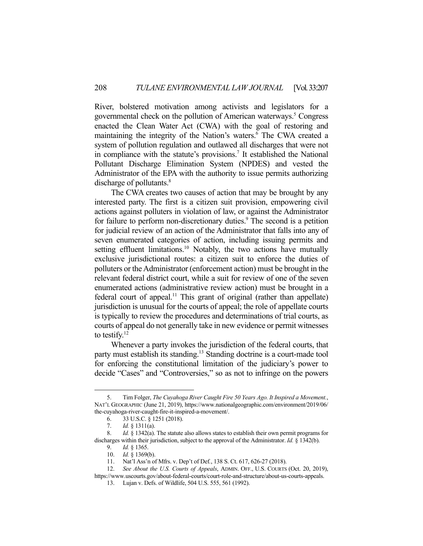River, bolstered motivation among activists and legislators for a governmental check on the pollution of American waterways.<sup>5</sup> Congress enacted the Clean Water Act (CWA) with the goal of restoring and maintaining the integrity of the Nation's waters.<sup>6</sup> The CWA created a system of pollution regulation and outlawed all discharges that were not in compliance with the statute's provisions.<sup>7</sup> It established the National Pollutant Discharge Elimination System (NPDES) and vested the Administrator of the EPA with the authority to issue permits authorizing discharge of pollutants.<sup>8</sup>

 The CWA creates two causes of action that may be brought by any interested party. The first is a citizen suit provision, empowering civil actions against polluters in violation of law, or against the Administrator for failure to perform non-discretionary duties.<sup>9</sup> The second is a petition for judicial review of an action of the Administrator that falls into any of seven enumerated categories of action, including issuing permits and setting effluent limitations.<sup>10</sup> Notably, the two actions have mutually exclusive jurisdictional routes: a citizen suit to enforce the duties of polluters or the Administrator (enforcement action) must be brought in the relevant federal district court, while a suit for review of one of the seven enumerated actions (administrative review action) must be brought in a federal court of appeal.<sup>11</sup> This grant of original (rather than appellate) jurisdiction is unusual for the courts of appeal; the role of appellate courts is typically to review the procedures and determinations of trial courts, as courts of appeal do not generally take in new evidence or permit witnesses to testify.12

 Whenever a party invokes the jurisdiction of the federal courts, that party must establish its standing.<sup>13</sup> Standing doctrine is a court-made tool for enforcing the constitutional limitation of the judiciary's power to decide "Cases" and "Controversies," so as not to infringe on the powers

 <sup>5.</sup> Tim Folger, *The Cuyahoga River Caught Fire 50 Years Ago. It Inspired a Movement.*, NAT'L GEOGRAPHIC (June 21, 2019), https://www.nationalgeographic.com/environment/2019/06/ the-cuyahoga-river-caught-fire-it-inspired-a-movement/.

 <sup>6. 33</sup> U.S.C. § 1251 (2018).

 <sup>7.</sup> *Id.* § 1311(a).

 <sup>8.</sup> *Id.* § 1342(a). The statute also allows states to establish their own permit programs for discharges within their jurisdiction, subject to the approval of the Administrator. *Id.* § 1342(b).

 <sup>9.</sup> *Id.* § 1365.

 <sup>10.</sup> *Id.* § 1369(b).

 <sup>11.</sup> Nat'l Ass'n of Mfrs. v. Dep't of Def*.*, 138 S. Ct. 617, 626-27 (2018).

 <sup>12.</sup> *See About the U.S. Courts of Appeals*, ADMIN. OFF., U.S. COURTS (Oct. 20, 2019), https://www.uscourts.gov/about-federal-courts/court-role-and-structure/about-us-courts-appeals.

 <sup>13.</sup> Lujan v. Defs. of Wildlife, 504 U.S. 555, 561 (1992).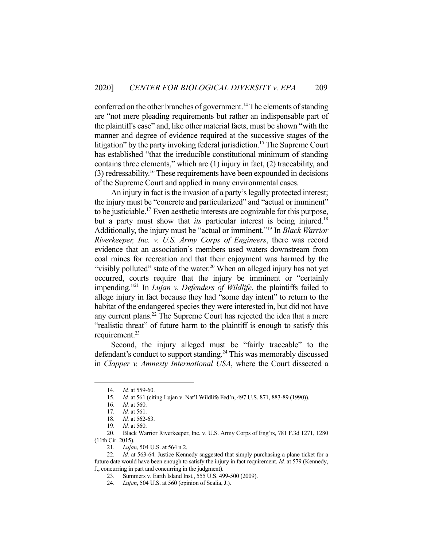conferred on the other branches of government.<sup>14</sup> The elements of standing are "not mere pleading requirements but rather an indispensable part of the plaintiff's case" and, like other material facts, must be shown "with the manner and degree of evidence required at the successive stages of the litigation" by the party invoking federal jurisdiction.<sup>15</sup> The Supreme Court has established "that the irreducible constitutional minimum of standing contains three elements," which are (1) injury in fact, (2) traceability, and  $(3)$  redressability.<sup>16</sup> These requirements have been expounded in decisions of the Supreme Court and applied in many environmental cases.

 An injury in fact is the invasion of a party's legally protected interest; the injury must be "concrete and particularized" and "actual or imminent" to be justiciable.17 Even aesthetic interests are cognizable for this purpose, but a party must show that *its* particular interest is being injured.<sup>18</sup> Additionally, the injury must be "actual or imminent."19 In *Black Warrior Riverkeeper, Inc. v. U.S. Army Corps of Engineers*, there was record evidence that an association's members used waters downstream from coal mines for recreation and that their enjoyment was harmed by the "visibly polluted" state of the water.<sup>20</sup> When an alleged injury has not yet occurred, courts require that the injury be imminent or "certainly impending."21 In *Lujan v. Defenders of Wildlife*, the plaintiffs failed to allege injury in fact because they had "some day intent" to return to the habitat of the endangered species they were interested in, but did not have any current plans.<sup>22</sup> The Supreme Court has rejected the idea that a mere "realistic threat" of future harm to the plaintiff is enough to satisfy this requirement.<sup>23</sup>

 Second, the injury alleged must be "fairly traceable" to the defendant's conduct to support standing.<sup>24</sup> This was memorably discussed in *Clapper v. Amnesty International USA*, where the Court dissected a

 <sup>14.</sup> *Id.* at 559-60.

 <sup>15.</sup> *Id.* at 561 (citing Lujan v. Nat'l Wildlife Fed'n, 497 U.S. 871, 883-89 (1990)).

 <sup>16.</sup> *Id.* at 560. *Id.* at 561.

 <sup>18.</sup> *Id.* at 562-63.

 <sup>19.</sup> *Id.* at 560.

 <sup>20.</sup> Black Warrior Riverkeeper, Inc. v. U.S. Army Corps of Eng'rs, 781 F.3d 1271, 1280 (11th Cir. 2015).

 <sup>21.</sup> *Lujan*, 504 U.S. at 564 n.2.

 <sup>22.</sup> *Id.* at 563-64. Justice Kennedy suggested that simply purchasing a plane ticket for a future date would have been enough to satisfy the injury in fact requirement. *Id.* at 579 (Kennedy, J., concurring in part and concurring in the judgment).

 <sup>23.</sup> Summers v. Earth Island Inst., 555 U.S. 499-500 (2009).

 <sup>24.</sup> *Lujan*, 504 U.S. at 560 (opinion of Scalia, J.).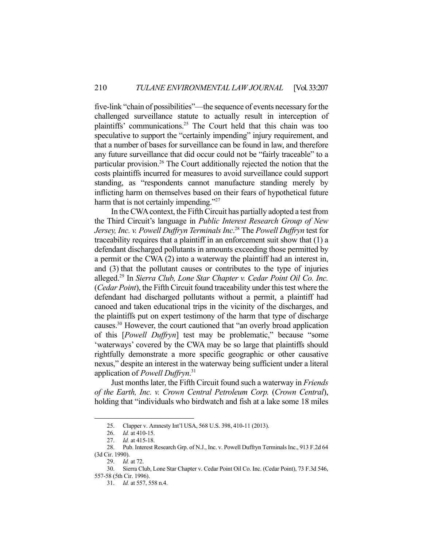five-link "chain of possibilities"—the sequence of events necessary for the challenged surveillance statute to actually result in interception of plaintiffs' communications.25 The Court held that this chain was too speculative to support the "certainly impending" injury requirement, and that a number of bases for surveillance can be found in law, and therefore any future surveillance that did occur could not be "fairly traceable" to a particular provision.<sup>26</sup> The Court additionally rejected the notion that the costs plaintiffs incurred for measures to avoid surveillance could support standing, as "respondents cannot manufacture standing merely by inflicting harm on themselves based on their fears of hypothetical future harm that is not certainly impending."<sup>27</sup>

 In the CWA context, the Fifth Circuit has partially adopted a test from the Third Circuit's language in *Public Interest Research Group of New Jersey, Inc. v. Powell Duffryn Terminals Inc*. 28 The *Powell Duffryn* test for traceability requires that a plaintiff in an enforcement suit show that (1) a defendant discharged pollutants in amounts exceeding those permitted by a permit or the CWA (2) into a waterway the plaintiff had an interest in, and (3) that the pollutant causes or contributes to the type of injuries alleged.29 In *Sierra Club, Lone Star Chapter v. Cedar Point Oil Co. Inc.* (*Cedar Point*), the Fifth Circuit found traceability under this test where the defendant had discharged pollutants without a permit, a plaintiff had canoed and taken educational trips in the vicinity of the discharges, and the plaintiffs put on expert testimony of the harm that type of discharge causes.30 However, the court cautioned that "an overly broad application of this [*Powell Duffryn*] test may be problematic," because "some 'waterways' covered by the CWA may be so large that plaintiffs should rightfully demonstrate a more specific geographic or other causative nexus," despite an interest in the waterway being sufficient under a literal application of *Powell Duffryn*. 31

 Just months later, the Fifth Circuit found such a waterway in *Friends of the Earth, Inc. v. Crown Central Petroleum Corp.* (*Crown Central*), holding that "individuals who birdwatch and fish at a lake some 18 miles

 <sup>25.</sup> Clapper v. Amnesty Int'l USA, 568 U.S. 398, 410-11 (2013).

 <sup>26.</sup> *Id.* at 410-15.

 <sup>27.</sup> *Id.* at 415-18.

 <sup>28.</sup> Pub. Interest Research Grp. of N.J., Inc. v. Powell Duffryn Terminals Inc., 913 F.2d 64 (3d Cir. 1990).

 <sup>29.</sup> *Id.* at 72.

 <sup>30.</sup> Sierra Club, Lone Star Chapter v. Cedar Point Oil Co. Inc. (Cedar Point), 73 F.3d 546, 557-58 (5th Cir. 1996).

 <sup>31.</sup> *Id.* at 557, 558 n.4.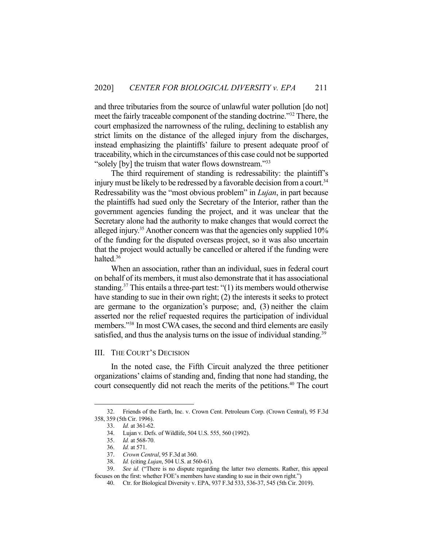and three tributaries from the source of unlawful water pollution [do not] meet the fairly traceable component of the standing doctrine."32 There, the court emphasized the narrowness of the ruling, declining to establish any strict limits on the distance of the alleged injury from the discharges, instead emphasizing the plaintiffs' failure to present adequate proof of traceability, which in the circumstances of this case could not be supported "solely [by] the truism that water flows downstream."33

 The third requirement of standing is redressability: the plaintiff's injury must be likely to be redressed by a favorable decision from a court.<sup>34</sup> Redressability was the "most obvious problem" in *Lujan*, in part because the plaintiffs had sued only the Secretary of the Interior, rather than the government agencies funding the project, and it was unclear that the Secretary alone had the authority to make changes that would correct the alleged injury.35 Another concern was that the agencies only supplied 10% of the funding for the disputed overseas project, so it was also uncertain that the project would actually be cancelled or altered if the funding were halted.<sup>36</sup>

 When an association, rather than an individual, sues in federal court on behalf of its members, it must also demonstrate that it has associational standing.<sup>37</sup> This entails a three-part test: " $(1)$  its members would otherwise have standing to sue in their own right; (2) the interests it seeks to protect are germane to the organization's purpose; and, (3) neither the claim asserted nor the relief requested requires the participation of individual members."38 In most CWA cases, the second and third elements are easily satisfied, and thus the analysis turns on the issue of individual standing.<sup>39</sup>

## III. THE COURT'S DECISION

 In the noted case, the Fifth Circuit analyzed the three petitioner organizations' claims of standing and, finding that none had standing, the court consequently did not reach the merits of the petitions.<sup>40</sup> The court

 <sup>32.</sup> Friends of the Earth, Inc. v. Crown Cent. Petroleum Corp. (Crown Central), 95 F.3d 358, 359 (5th Cir. 1996).

 <sup>33.</sup> *Id.* at 361-62.

 <sup>34.</sup> Lujan v. Defs. of Wildlife, 504 U.S. 555, 560 (1992).

 <sup>35.</sup> *Id.* at 568-70.

 <sup>36.</sup> *Id.* at 571.

 <sup>37.</sup> *Crown Central*, 95 F.3d at 360.

 <sup>38.</sup> *Id.* (citing *Lujan*, 504 U.S. at 560-61).

 <sup>39.</sup> *See id.* ("There is no dispute regarding the latter two elements. Rather, this appeal focuses on the first: whether FOE's members have standing to sue in their own right.")

 <sup>40.</sup> Ctr. for Biological Diversity v. EPA, 937 F.3d 533, 536-37, 545 (5th Cir. 2019).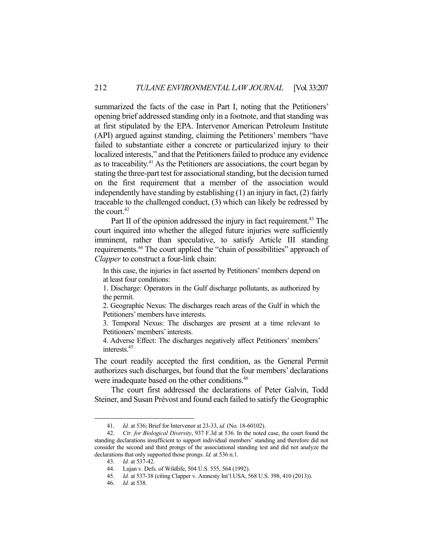summarized the facts of the case in Part I, noting that the Petitioners' opening brief addressed standing only in a footnote, and that standing was at first stipulated by the EPA. Intervenor American Petroleum Institute (API) argued against standing, claiming the Petitioners' members "have failed to substantiate either a concrete or particularized injury to their localized interests," and that the Petitioners failed to produce any evidence as to traceability.<sup>41</sup> As the Petitioners are associations, the court began by stating the three-part test for associational standing, but the decision turned on the first requirement that a member of the association would independently have standing by establishing (1) an injury in fact, (2) fairly traceable to the challenged conduct, (3) which can likely be redressed by the court.<sup>42</sup>

Part II of the opinion addressed the injury in fact requirement.<sup>43</sup> The court inquired into whether the alleged future injuries were sufficiently imminent, rather than speculative, to satisfy Article III standing requirements.44 The court applied the "chain of possibilities" approach of *Clapper* to construct a four-link chain:

In this case, the injuries in fact asserted by Petitioners' members depend on at least four conditions:

1. Discharge: Operators in the Gulf discharge pollutants, as authorized by the permit.

2. Geographic Nexus: The discharges reach areas of the Gulf in which the Petitioners' members have interests.

3. Temporal Nexus: The discharges are present at a time relevant to Petitioners' members' interests.

4. Adverse Effect: The discharges negatively affect Petitioners' members' interests.45

The court readily accepted the first condition, as the General Permit authorizes such discharges, but found that the four members' declarations were inadequate based on the other conditions.<sup>46</sup>

 The court first addressed the declarations of Peter Galvin, Todd Steiner, and Susan Prévost and found each failed to satisfy the Geographic

 <sup>41.</sup> *Id.* at 536; Brief for Intervenor at 23-33, *id.* (No. 18-60102).

 <sup>42.</sup> *Ctr. for Biological Diversity*, 937 F.3d at 536. In the noted case, the court found the standing declarations insufficient to support individual members' standing and therefore did not consider the second and third prongs of the associational standing test and did not analyze the declarations that only supported those prongs. *Id.* at 536 n.1.

 <sup>43.</sup> *Id.* at 537-42.

 <sup>44.</sup> Lujan v. Defs. of Wildlife, 504 U.S. 555, 564 (1992).

 <sup>45.</sup> *Id.* at 537-38 (citing Clapper v. Amnesty Int'l USA, 568 U.S. 398, 410 (2013)).

 <sup>46.</sup> *Id.* at 538.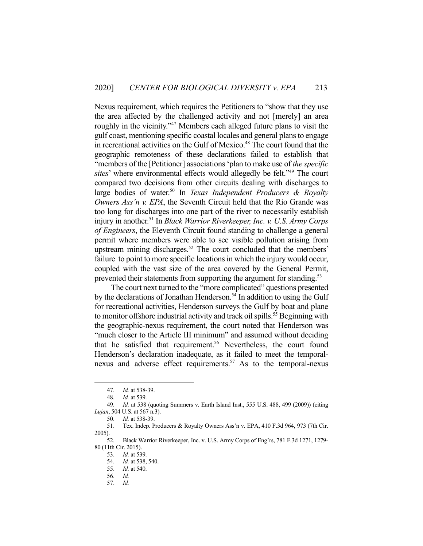Nexus requirement, which requires the Petitioners to "show that they use the area affected by the challenged activity and not [merely] an area roughly in the vicinity."<sup>47</sup> Members each alleged future plans to visit the gulf coast, mentioning specific coastal locales and general plans to engage in recreational activities on the Gulf of Mexico.<sup>48</sup> The court found that the geographic remoteness of these declarations failed to establish that "members of the [Petitioner] associations 'plan to make use of *the specific sites*' where environmental effects would allegedly be felt."49 The court compared two decisions from other circuits dealing with discharges to large bodies of water.<sup>50</sup> In *Texas Independent Producers & Royalty Owners Ass'n v. EPA*, the Seventh Circuit held that the Rio Grande was too long for discharges into one part of the river to necessarily establish injury in another.51 In *Black Warrior Riverkeeper, Inc. v. U.S. Army Corps of Engineers*, the Eleventh Circuit found standing to challenge a general permit where members were able to see visible pollution arising from upstream mining discharges.<sup>52</sup> The court concluded that the members' failure to point to more specific locations in which the injury would occur, coupled with the vast size of the area covered by the General Permit, prevented their statements from supporting the argument for standing.<sup>53</sup>

 The court next turned to the "more complicated" questions presented by the declarations of Jonathan Henderson.<sup>54</sup> In addition to using the Gulf for recreational activities, Henderson surveys the Gulf by boat and plane to monitor offshore industrial activity and track oil spills.<sup>55</sup> Beginning with the geographic-nexus requirement, the court noted that Henderson was "much closer to the Article III minimum" and assumed without deciding that he satisfied that requirement.<sup>56</sup> Nevertheless, the court found Henderson's declaration inadequate, as it failed to meet the temporalnexus and adverse effect requirements.<sup>57</sup> As to the temporal-nexus

 <sup>47.</sup> *Id.* at 538-39.

 <sup>48.</sup> *Id.* at 539.

 <sup>49.</sup> *Id.* at 538 (quoting Summers v. Earth Island Inst., 555 U.S. 488, 499 (2009)) (citing *Lujan*, 504 U.S. at 567 n.3).

 <sup>50.</sup> *Id.* at 538-39.

 <sup>51.</sup> Tex. Indep. Producers & Royalty Owners Ass'n v. EPA, 410 F.3d 964, 973 (7th Cir. 2005).

 <sup>52.</sup> Black Warrior Riverkeeper, Inc. v. U.S. Army Corps of Eng'rs, 781 F.3d 1271, 1279- 80 (11th Cir. 2015).

 <sup>53.</sup> *Id.* at 539.

 <sup>54.</sup> *Id.* at 538, 540.

 <sup>55.</sup> *Id.* at 540.

 <sup>56.</sup> *Id.* 

 <sup>57.</sup> *Id.*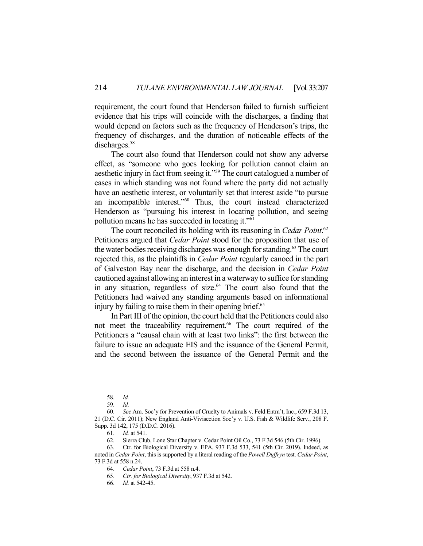requirement, the court found that Henderson failed to furnish sufficient evidence that his trips will coincide with the discharges, a finding that would depend on factors such as the frequency of Henderson's trips, the frequency of discharges, and the duration of noticeable effects of the discharges.<sup>58</sup>

 The court also found that Henderson could not show any adverse effect, as "someone who goes looking for pollution cannot claim an aesthetic injury in fact from seeing it."59 The court catalogued a number of cases in which standing was not found where the party did not actually have an aesthetic interest, or voluntarily set that interest aside "to pursue an incompatible interest."60 Thus, the court instead characterized Henderson as "pursuing his interest in locating pollution, and seeing pollution means he has succeeded in locating it."61

 The court reconciled its holding with its reasoning in *Cedar Point*. 62 Petitioners argued that *Cedar Point* stood for the proposition that use of the water bodies receiving discharges was enough for standing.<sup>63</sup> The court rejected this, as the plaintiffs in *Cedar Point* regularly canoed in the part of Galveston Bay near the discharge, and the decision in *Cedar Point* cautioned against allowing an interest in a waterway to suffice for standing in any situation, regardless of size. $64$  The court also found that the Petitioners had waived any standing arguments based on informational injury by failing to raise them in their opening brief.<sup>65</sup>

 In Part III of the opinion, the court held that the Petitioners could also not meet the traceability requirement.<sup>66</sup> The court required of the Petitioners a "causal chain with at least two links": the first between the failure to issue an adequate EIS and the issuance of the General Permit, and the second between the issuance of the General Permit and the

 <sup>58.</sup> *Id.* 

 <sup>59.</sup> *Id.* 

 <sup>60.</sup> *See* Am. Soc'y for Prevention of Cruelty to Animals v. Feld Entm't, Inc*.*, 659 F.3d 13, 21 (D.C. Cir. 2011); New England Anti-Vivisection Soc'y v. U.S. Fish & Wildlife Serv*.*, 208 F. Supp. 3d 142, 175 (D.D.C. 2016).

 <sup>61.</sup> *Id.* at 541.

 <sup>62.</sup> Sierra Club, Lone Star Chapter v. Cedar Point Oil Co*.*, 73 F.3d 546 (5th Cir. 1996).

 <sup>63.</sup> Ctr. for Biological Diversity v. EPA, 937 F.3d 533, 541 (5th Cir. 2019). Indeed, as noted in *Cedar Point*, this is supported by a literal reading of the *Powell Duffryn* test. *Cedar Point*, 73 F.3d at 558 n.24.

 <sup>64.</sup> *Cedar Point*, 73 F.3d at 558 n.4.

 <sup>65.</sup> *Ctr. for Biological Diversity*, 937 F.3d at 542.

 <sup>66.</sup> *Id.* at 542-45.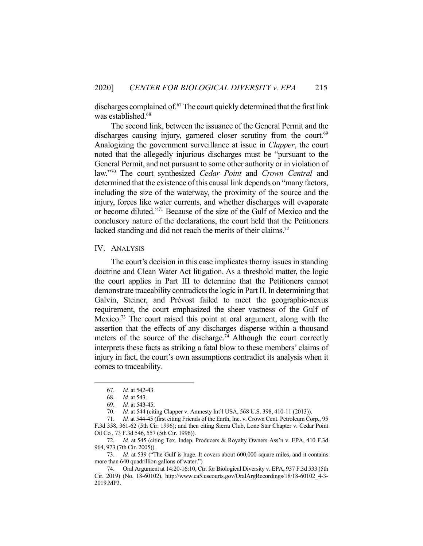discharges complained of.67 The court quickly determined that the first link was established.<sup>68</sup>

 The second link, between the issuance of the General Permit and the discharges causing injury, garnered closer scrutiny from the court.<sup>69</sup> Analogizing the government surveillance at issue in *Clapper*, the court noted that the allegedly injurious discharges must be "pursuant to the General Permit, and not pursuant to some other authority or in violation of law."70 The court synthesized *Cedar Point* and *Crown Central* and determined that the existence of this causal link depends on "many factors, including the size of the waterway, the proximity of the source and the injury, forces like water currents, and whether discharges will evaporate or become diluted."71 Because of the size of the Gulf of Mexico and the conclusory nature of the declarations, the court held that the Petitioners lacked standing and did not reach the merits of their claims.<sup>72</sup>

#### IV. ANALYSIS

 The court's decision in this case implicates thorny issues in standing doctrine and Clean Water Act litigation. As a threshold matter, the logic the court applies in Part III to determine that the Petitioners cannot demonstrate traceability contradicts the logic in Part II. In determining that Galvin, Steiner, and Prévost failed to meet the geographic-nexus requirement, the court emphasized the sheer vastness of the Gulf of Mexico.<sup>73</sup> The court raised this point at oral argument, along with the assertion that the effects of any discharges disperse within a thousand meters of the source of the discharge.<sup>74</sup> Although the court correctly interprets these facts as striking a fatal blow to these members' claims of injury in fact, the court's own assumptions contradict its analysis when it comes to traceability.

 <sup>67.</sup> *Id.* at 542-43.

 <sup>68.</sup> *Id.* at 543.

 <sup>69.</sup> *Id.* at 543-45.

 <sup>70.</sup> *Id.* at 544 (citing Clapper v. Amnesty Int'l USA, 568 U.S. 398, 410-11 (2013)).

 <sup>71.</sup> *Id.* at 544-45 (first citing Friends of the Earth, Inc. v. Crown Cent. Petroleum Corp., 95 F.3d 358, 361-62 (5th Cir. 1996); and then citing Sierra Club, Lone Star Chapter v. Cedar Point Oil Co*.*, 73 F.3d 546, 557 (5th Cir. 1996)).

 <sup>72.</sup> *Id.* at 545 (citing Tex. Indep. Producers & Royalty Owners Ass'n v. EPA, 410 F.3d 964, 973 (7th Cir. 2005)).

 <sup>73.</sup> *Id.* at 539 ("The Gulf is huge. It covers about 600,000 square miles, and it contains more than 640 quadrillion gallons of water.")

 <sup>74.</sup> Oral Argument at 14:20-16:10, Ctr. for Biological Diversity v. EPA, 937 F.3d 533 (5th Cir. 2019) (No. 18-60102), http://www.ca5.uscourts.gov/OralArgRecordings/18/18-60102\_4-3- 2019.MP3.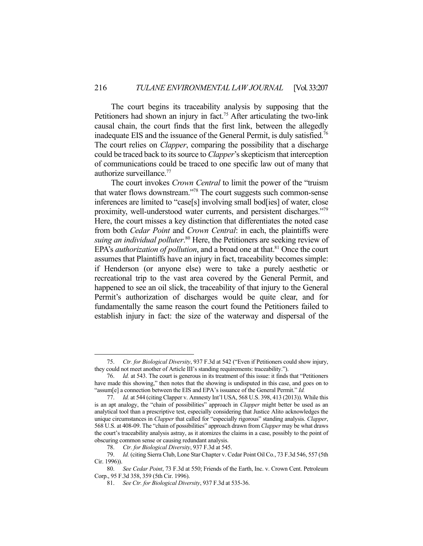The court begins its traceability analysis by supposing that the Petitioners had shown an injury in fact.<sup>75</sup> After articulating the two-link causal chain, the court finds that the first link, between the allegedly inadequate EIS and the issuance of the General Permit, is duly satisfied.<sup>76</sup> The court relies on *Clapper*, comparing the possibility that a discharge could be traced back to its source to *Clapper*'s skepticism that interception of communications could be traced to one specific law out of many that authorize surveillance.<sup>77</sup>

 The court invokes *Crown Central* to limit the power of the "truism that water flows downstream."78 The court suggests such common-sense inferences are limited to "case[s] involving small bod[ies] of water, close proximity, well-understood water currents, and persistent discharges."79 Here, the court misses a key distinction that differentiates the noted case from both *Cedar Point* and *Crown Central*: in each, the plaintiffs were suing an individual polluter.<sup>80</sup> Here, the Petitioners are seeking review of EPA's *authorization of pollution*, and a broad one at that.<sup>81</sup> Once the court assumes that Plaintiffs have an injury in fact, traceability becomes simple: if Henderson (or anyone else) were to take a purely aesthetic or recreational trip to the vast area covered by the General Permit, and happened to see an oil slick, the traceability of that injury to the General Permit's authorization of discharges would be quite clear, and for fundamentally the same reason the court found the Petitioners failed to establish injury in fact: the size of the waterway and dispersal of the

 <sup>75.</sup> *Ctr. for Biological Diversity*, 937 F.3d at 542 ("Even if Petitioners could show injury, they could not meet another of Article III's standing requirements: traceability.").

 <sup>76.</sup> *Id.* at 543. The court is generous in its treatment of this issue: it finds that "Petitioners have made this showing," then notes that the showing is undisputed in this case, and goes on to "assum[e] a connection between the EIS and EPA's issuance of the General Permit." *Id.* 

 <sup>77.</sup> *Id.* at 544 (citing Clapper v. Amnesty Int'l USA, 568 U.S. 398, 413 (2013)). While this is an apt analogy, the "chain of possibilities" approach in *Clapper* might better be used as an analytical tool than a prescriptive test, especially considering that Justice Alito acknowledges the unique circumstances in *Clapper* that called for "especially rigorous" standing analysis. *Clapper*, 568 U.S. at 408-09. The "chain of possibilities" approach drawn from *Clapper* may be what draws the court's traceability analysis astray, as it atomizes the claims in a case, possibly to the point of obscuring common sense or causing redundant analysis.

 <sup>78.</sup> *Ctr. for Biological Diversity*, 937 F.3d at 545.

 <sup>79.</sup> *Id.* (citing Sierra Club, Lone Star Chapter v. Cedar Point Oil Co*.*, 73 F.3d 546, 557 (5th Cir. 1996)).

 <sup>80.</sup> *See Cedar Point*, 73 F.3d at 550; Friends of the Earth, Inc. v. Crown Cent. Petroleum Corp., 95 F.3d 358, 359 (5th Cir. 1996).

 <sup>81.</sup> *See Ctr. for Biological Diversity*, 937 F.3d at 535-36.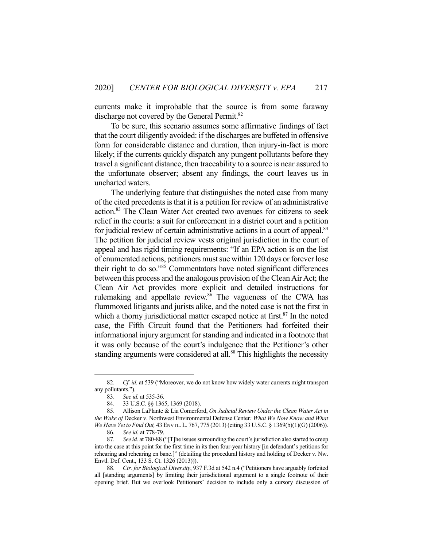currents make it improbable that the source is from some faraway discharge not covered by the General Permit.<sup>82</sup>

 To be sure, this scenario assumes some affirmative findings of fact that the court diligently avoided: if the discharges are buffeted in offensive form for considerable distance and duration, then injury-in-fact is more likely; if the currents quickly dispatch any pungent pollutants before they travel a significant distance, then traceability to a source is near assured to the unfortunate observer; absent any findings, the court leaves us in uncharted waters.

 The underlying feature that distinguishes the noted case from many of the cited precedents is that it is a petition for review of an administrative action.<sup>83</sup> The Clean Water Act created two avenues for citizens to seek relief in the courts: a suit for enforcement in a district court and a petition for judicial review of certain administrative actions in a court of appeal.<sup>84</sup> The petition for judicial review vests original jurisdiction in the court of appeal and has rigid timing requirements: "If an EPA action is on the list of enumerated actions, petitioners must sue within 120 days or forever lose their right to do so."85 Commentators have noted significant differences between this process and the analogous provision of the Clean Air Act; the Clean Air Act provides more explicit and detailed instructions for rulemaking and appellate review.<sup>86</sup> The vagueness of the CWA has flummoxed litigants and jurists alike, and the noted case is not the first in which a thorny jurisdictional matter escaped notice at first. $87$  In the noted case, the Fifth Circuit found that the Petitioners had forfeited their informational injury argument for standing and indicated in a footnote that it was only because of the court's indulgence that the Petitioner's other standing arguments were considered at all.<sup>88</sup> This highlights the necessity

 <sup>82.</sup> *Cf. id.* at 539 ("Moreover, we do not know how widely water currents might transport any pollutants.").

 <sup>83.</sup> *See id.* at 535-36.

 <sup>84. 33</sup> U.S.C. §§ 1365, 1369 (2018).

 <sup>85.</sup> Allison LaPlante & Lia Comerford, *On Judicial Review Under the Clean Water Act in the Wake of* Decker v. Northwest Environmental Defense Center*: What We Now Know and What We Have Yet to Find Out,* 43 ENVTL. L. 767, 775 (2013) (citing 33 U.S.C. § 1369(b)(1)(G) (2006)).

 <sup>86.</sup> *See id.* at 778-79.

 <sup>87.</sup> *See id.* at 780-88 ("[T]he issues surrounding the court's jurisdiction also started to creep into the case at this point for the first time in its then four-year history [in defendant's petitions for rehearing and rehearing en banc.]" (detailing the procedural history and holding of Decker v. Nw. Envtl. Def. Cent., 133 S. Ct. 1326 (2013))).

 <sup>88.</sup> *Ctr. for Biological Diversity*, 937 F.3d at 542 n.4 ("Petitioners have arguably forfeited all [standing arguments] by limiting their jurisdictional argument to a single footnote of their opening brief. But we overlook Petitioners' decision to include only a cursory discussion of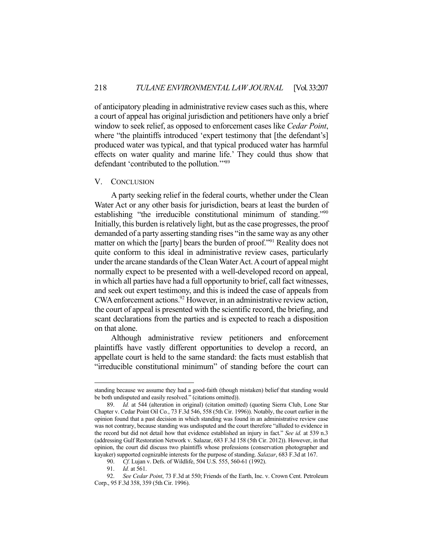of anticipatory pleading in administrative review cases such as this, where a court of appeal has original jurisdiction and petitioners have only a brief window to seek relief, as opposed to enforcement cases like *Cedar Point*, where "the plaintiffs introduced 'expert testimony that [the defendant's] produced water was typical, and that typical produced water has harmful effects on water quality and marine life.' They could thus show that defendant 'contributed to the pollution.'"89

#### V. CONCLUSION

 A party seeking relief in the federal courts, whether under the Clean Water Act or any other basis for jurisdiction, bears at least the burden of establishing "the irreducible constitutional minimum of standing."90 Initially, this burden is relatively light, but as the case progresses, the proof demanded of a party asserting standing rises "in the same way as any other matter on which the [party] bears the burden of proof."<sup>91</sup> Reality does not quite conform to this ideal in administrative review cases, particularly under the arcane standards of the Clean Water Act. A court of appeal might normally expect to be presented with a well-developed record on appeal, in which all parties have had a full opportunity to brief, call fact witnesses, and seek out expert testimony, and this is indeed the case of appeals from CWA enforcement actions.<sup>92</sup> However, in an administrative review action, the court of appeal is presented with the scientific record, the briefing, and scant declarations from the parties and is expected to reach a disposition on that alone.

 Although administrative review petitioners and enforcement plaintiffs have vastly different opportunities to develop a record, an appellate court is held to the same standard: the facts must establish that "irreducible constitutional minimum" of standing before the court can

standing because we assume they had a good-faith (though mistaken) belief that standing would be both undisputed and easily resolved." (citations omitted)).

 <sup>89.</sup> *Id.* at 544 (alteration in original) (citation omitted) (quoting Sierra Club, Lone Star Chapter v. Cedar Point Oil Co*.*, 73 F.3d 546, 558 (5th Cir. 1996)). Notably, the court earlier in the opinion found that a past decision in which standing was found in an administrative review case was not contrary, because standing was undisputed and the court therefore "alluded to evidence in the record but did not detail how that evidence established an injury in fact." *See id.* at 539 n.3 (addressing Gulf Restoration Network v. Salazar, 683 F.3d 158 (5th Cir. 2012)). However, in that opinion, the court did discuss two plaintiffs whose professions (conservation photographer and kayaker) supported cognizable interests for the purpose of standing. *Salazar*, 683 F.3d at 167.

 <sup>90.</sup> *Cf.* Lujan v. Defs. of Wildlife, 504 U.S. 555, 560-61 (1992).

 <sup>91.</sup> *Id.* at 561.

 <sup>92.</sup> *See Cedar Point*, 73 F.3d at 550; Friends of the Earth, Inc. v. Crown Cent. Petroleum Corp., 95 F.3d 358, 359 (5th Cir. 1996).